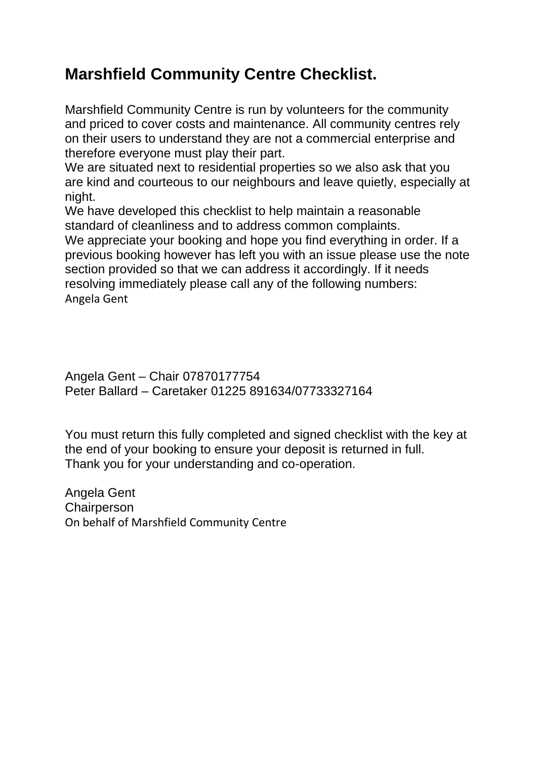## **Marshfield Community Centre Checklist.**

Marshfield Community Centre is run by volunteers for the community and priced to cover costs and maintenance. All community centres rely on their users to understand they are not a commercial enterprise and therefore everyone must play their part.

We are situated next to residential properties so we also ask that you are kind and courteous to our neighbours and leave quietly, especially at night.

We have developed this checklist to help maintain a reasonable standard of cleanliness and to address common complaints.

We appreciate your booking and hope you find everything in order. If a previous booking however has left you with an issue please use the note section provided so that we can address it accordingly. If it needs resolving immediately please call any of the following numbers: Angela Gent

Angela Gent – Chair 07870177754 Peter Ballard – Caretaker 01225 891634/07733327164

You must return this fully completed and signed checklist with the key at the end of your booking to ensure your deposit is returned in full. Thank you for your understanding and co-operation.

Angela Gent **Chairperson** On behalf of Marshfield Community Centre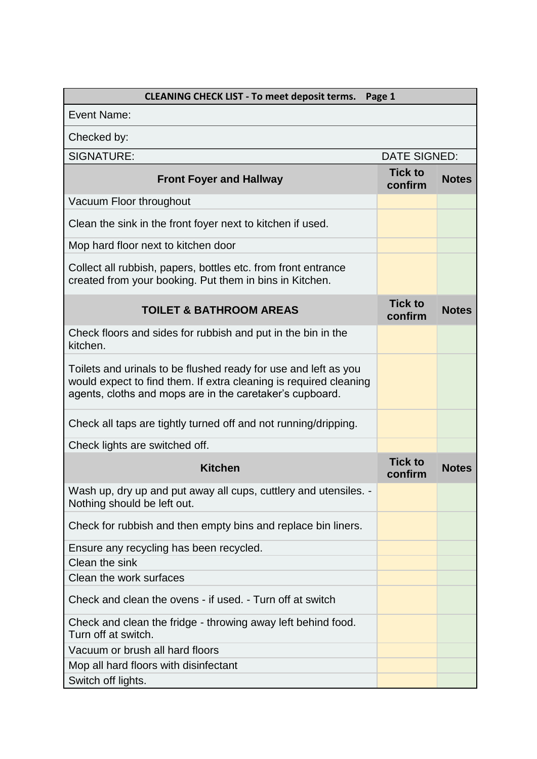| <b>CLEANING CHECK LIST - To meet deposit terms.</b><br>Page 1                                                                                                                                    |                           |              |  |
|--------------------------------------------------------------------------------------------------------------------------------------------------------------------------------------------------|---------------------------|--------------|--|
| Event Name:                                                                                                                                                                                      |                           |              |  |
| Checked by:                                                                                                                                                                                      |                           |              |  |
| <b>SIGNATURE:</b>                                                                                                                                                                                | <b>DATE SIGNED:</b>       |              |  |
| <b>Front Foyer and Hallway</b>                                                                                                                                                                   | <b>Tick to</b><br>confirm | <b>Notes</b> |  |
| Vacuum Floor throughout                                                                                                                                                                          |                           |              |  |
| Clean the sink in the front foyer next to kitchen if used.                                                                                                                                       |                           |              |  |
| Mop hard floor next to kitchen door                                                                                                                                                              |                           |              |  |
| Collect all rubbish, papers, bottles etc. from front entrance<br>created from your booking. Put them in bins in Kitchen.                                                                         |                           |              |  |
| <b>TOILET &amp; BATHROOM AREAS</b>                                                                                                                                                               | <b>Tick to</b><br>confirm | <b>Notes</b> |  |
| Check floors and sides for rubbish and put in the bin in the<br>kitchen.                                                                                                                         |                           |              |  |
| Toilets and urinals to be flushed ready for use and left as you<br>would expect to find them. If extra cleaning is required cleaning<br>agents, cloths and mops are in the caretaker's cupboard. |                           |              |  |
| Check all taps are tightly turned off and not running/dripping.                                                                                                                                  |                           |              |  |
| Check lights are switched off.                                                                                                                                                                   |                           |              |  |
| <b>Kitchen</b>                                                                                                                                                                                   | <b>Tick to</b><br>confirm | <b>Notes</b> |  |
| Wash up, dry up and put away all cups, cuttlery and utensiles.<br>Nothing should be left out.                                                                                                    |                           |              |  |
| Check for rubbish and then empty bins and replace bin liners.                                                                                                                                    |                           |              |  |
| Ensure any recycling has been recycled.                                                                                                                                                          |                           |              |  |
| Clean the sink                                                                                                                                                                                   |                           |              |  |
| Clean the work surfaces                                                                                                                                                                          |                           |              |  |
| Check and clean the ovens - if used. - Turn off at switch                                                                                                                                        |                           |              |  |
| Check and clean the fridge - throwing away left behind food.<br>Turn off at switch.                                                                                                              |                           |              |  |
| Vacuum or brush all hard floors                                                                                                                                                                  |                           |              |  |
| Mop all hard floors with disinfectant                                                                                                                                                            |                           |              |  |
| Switch off lights.                                                                                                                                                                               |                           |              |  |